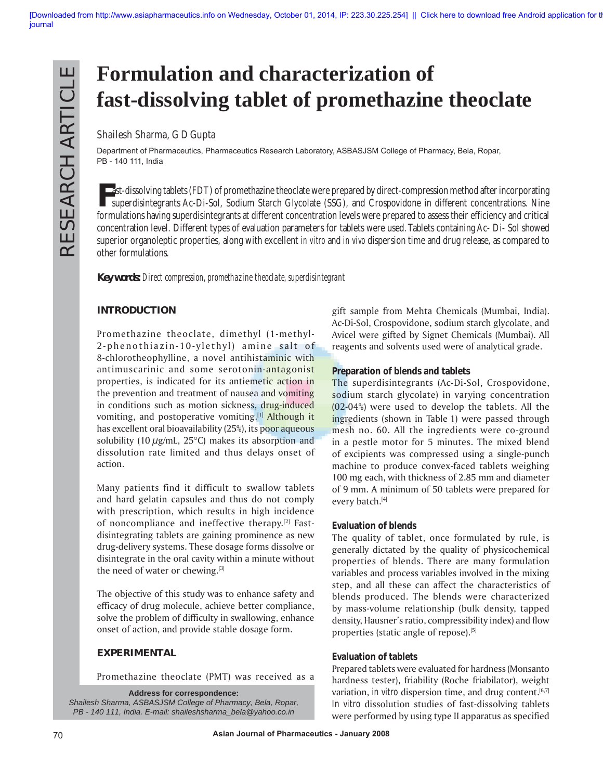# **Formulation and characterization of fast-dissolving tablet of promethazine theoclate**

# **Shailesh Sharma, G D Gupta**

Department of Pharmaceutics, Pharmaceutics Research Laboratory, ASBASJSM College of Pharmacy, Bela, Ropar, PB - 140 111, India

**Fast-dissolving tablets (FDT) of promethazine theoclate were prepared by direct-compression method after incorporating<br>Superdisintegrants Ac-Di-Sol. Sodium Starch Glycolate (SSG) and Crospovidone in different concentratio** superdisintegrants Ac-Di-Sol, Sodium Starch Glycolate (SSG), and Crospovidone in different concentrations. Nine formulations having superdisintegrants at different concentration levels were prepared to assess their efficiency and critical concentration level. Different types of evaluation parameters for tablets were used. Tablets containing Ac- Di- Sol showed superior organoleptic properties, along with excellent *in vitro* and *in vivo* dispersion time and drug release, as compared to other formulations.

*Key words: Direct compression, promethazine theoclate, superdisintegrant*

## **INTRODUCTION**

Promethazine theoclate, dimethyl (1-methyl-2-phenothiazin-10-ylethyl) amine salt of 8-chlorotheophylline, a novel antihistaminic with antimuscarinic and some serotonin-antagonist properties, is indicated for its antiemetic action in the prevention and treatment of nausea and vomiting in conditions such as motion sickness, drug-induced vomiting, and postoperative vomiting.<sup>[1]</sup> Although it has excellent oral bioavailability (25%), its poor aqueous solubility (10  $\mu$ g/mL, 25°C) makes its absorption and dissolution rate limited and thus delays onset of action.

Many patients find it difficult to swallow tablets and hard gelatin capsules and thus do not comply with prescription, which results in high incidence of noncompliance and ineffective therapy.<sup>[2]</sup> Fastdisintegrating tablets are gaining prominence as new drug-delivery systems. These dosage forms dissolve or disintegrate in the oral cavity within a minute without the need of water or chewing.[3]

The objective of this study was to enhance safety and efficacy of drug molecule, achieve better compliance, solve the problem of difficulty in swallowing, enhance onset of action, and provide stable dosage form.

### **EXPERIMENTAL**

Promethazine theoclate (PMT) was received as a

**Address for correspondence:** *Shailesh Sharma, ASBASJSM College of Pharmacy, Bela, Ropar, PB - 140 111, India. E-mail: shaileshsharma\_bela@yahoo.co.in*

gift sample from Mehta Chemicals (Mumbai, India). Ac-Di-Sol, Crospovidone, sodium starch glycolate, and Avicel were gifted by Signet Chemicals (Mumbai). All reagents and solvents used were of analytical grade.

#### **Preparation of blends and tablets**

The superdisintegrants (Ac-Di-Sol, Crospovidone, sodium starch glycolate) in varying concentration (02-04%) were used to develop the tablets. All the ingredients (shown in Table 1) were passed through mesh no. 60. All the ingredients were co-ground in a pestle motor for 5 minutes. The mixed blend of excipients was compressed using a single-punch machine to produce convex-faced tablets weighing 100 mg each, with thickness of 2.85 mm and diameter of 9 mm. A minimum of 50 tablets were prepared for every batch.[4]

### **Evaluation of blends**

The quality of tablet, once formulated by rule, is generally dictated by the quality of physicochemical properties of blends. There are many formulation variables and process variables involved in the mixing step, and all these can affect the characteristics of blends produced. The blends were characterized by mass-volume relationship (bulk density, tapped density, Hausner's ratio, compressibility index) and flow properties (static angle of repose).<sup>[5]</sup>

### **Evaluation of tablets**

Prepared tablets were evaluated for hardness (Monsanto hardness tester), friability (Roche friabilator), weight variation, *in vitro* dispersion time, and drug content.<sup>[6,7]</sup> *In vitro* dissolution studies of fast-dissolving tablets were performed by using type II apparatus as specified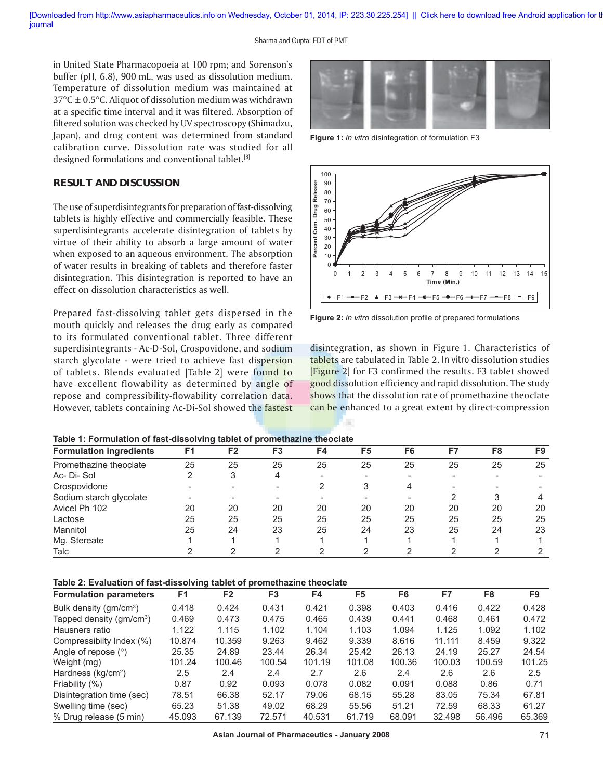in United State Pharmacopoeia at 100 rpm; and Sorenson's buffer (pH, 6.8), 900 mL, was used as dissolution medium. Temperature of dissolution medium was maintained at  $37^{\circ}$ C  $\pm$  0.5 $^{\circ}$ C. Aliquot of dissolution medium was withdrawn at a specific time interval and it was filtered. Absorption of filtered solution was checked by UV spectroscopy (Shimadzu, Japan), and drug content was determined from standard calibration curve. Dissolution rate was studied for all designed formulations and conventional tablet.[8]

#### **RESULT AND DISCUSSION**

The use of superdisintegrants for preparation of fast-dissolving tablets is highly effective and commercially feasible. These superdisintegrants accelerate disintegration of tablets by virtue of their ability to absorb a large amount of water when exposed to an aqueous environment. The absorption of water results in breaking of tablets and therefore faster disintegration. This disintegration is reported to have an effect on dissolution characteristics as well.

Prepared fast-dissolving tablet gets dispersed in the mouth quickly and releases the drug early as compared to its formulated conventional tablet. Three different superdisintegrants - Ac-D-Sol, Crospovidone, and sodium starch glycolate - were tried to achieve fast dispersion of tablets. Blends evaluated [Table 2] were found to have excellent flowability as determined by angle of repose and compressibility-flowability correlation data. However, tablets containing Ac-Di-Sol showed the fastest



**Figure 1:** *In vitro* disintegration of formulation F3



Figure 2: *In vitro* dissolution profile of prepared formulations

disintegration, as shown in Figure 1. Characteristics of tablets are tabulated in Table 2. *In vitro* dissolution studies [Figure 2] for F3 confirmed the results. F3 tablet showed good dissolution efficiency and rapid dissolution. The study shows that the dissolution rate of promethazine theoclate can be enhanced to a great extent by direct-compression

#### **Table 1: Formulation of fast-dissolving tablet of promethazine theoclate**

| <b>Formulation ingredients</b> | F1 | F2 | F3 | F4 | F5 | F <sub>6</sub> | F7 | F8 | F9 |
|--------------------------------|----|----|----|----|----|----------------|----|----|----|
| Promethazine theoclate         | 25 | 25 | 25 | 25 | 25 | 25             | 25 | 25 | 25 |
| Ac-Di-Sol                      | ⌒  | 3  | 4  | -  |    |                |    |    |    |
| Crospovidone                   |    |    |    |    |    |                |    |    |    |
| Sodium starch glycolate        |    |    |    |    |    |                |    |    |    |
| Avicel Ph 102                  | 20 | 20 | 20 | 20 | 20 | 20             | 20 | 20 | 20 |
| Lactose                        | 25 | 25 | 25 | 25 | 25 | 25             | 25 | 25 | 25 |
| Mannitol                       | 25 | 24 | 23 | 25 | 24 | 23             | 25 | 24 | 23 |
| Mg. Stereate                   |    |    |    |    |    |                |    |    |    |
| Talc                           |    |    |    |    |    |                |    |    |    |

**Table 2: Evaluation of fast-dissolving tablet of promethazine theoclate**

| <b>Formulation parameters</b>        | F <sub>1</sub> | F <sub>2</sub> | F3     | F4     | F5     | F6     | F7     | F8     | F9     |
|--------------------------------------|----------------|----------------|--------|--------|--------|--------|--------|--------|--------|
| Bulk density (gm/cm <sup>3</sup> )   | 0.418          | 0.424          | 0.431  | 0.421  | 0.398  | 0.403  | 0.416  | 0.422  | 0.428  |
| Tapped density (gm/cm <sup>3</sup> ) | 0.469          | 0.473          | 0.475  | 0.465  | 0.439  | 0.441  | 0.468  | 0.461  | 0.472  |
| Hausners ratio                       | 1.122          | 1.115          | 1.102  | 1.104  | 1.103  | 1.094  | 1.125  | 1.092  | 1.102  |
| Compressibilty Index (%)             | 10.874         | 10.359         | 9.263  | 9.462  | 9.339  | 8.616  | 11.111 | 8.459  | 9.322  |
| Angle of repose $(°)$                | 25.35          | 24.89          | 23.44  | 26.34  | 25.42  | 26.13  | 24.19  | 25.27  | 24.54  |
| Weight (mg)                          | 101.24         | 100.46         | 100.54 | 101.19 | 101.08 | 100.36 | 100.03 | 100.59 | 101.25 |
| Hardness ( $kg/cm2$ )                | $2.5\,$        | 2.4            | 2.4    | 2.7    | 2.6    | 2.4    | 2.6    | 2.6    | 2.5    |
| Friability (%)                       | 0.87           | 0.92           | 0.093  | 0.078  | 0.082  | 0.091  | 0.088  | 0.86   | 0.71   |
| Disintegration time (sec)            | 78.51          | 66.38          | 52.17  | 79.06  | 68.15  | 55.28  | 83.05  | 75.34  | 67.81  |
| Swelling time (sec)                  | 65.23          | 51.38          | 49.02  | 68.29  | 55.56  | 51.21  | 72.59  | 68.33  | 61.27  |
| % Drug release (5 min)               | 45.093         | 67.139         | 72.571 | 40.531 | 61.719 | 68.091 | 32.498 | 56.496 | 65.369 |